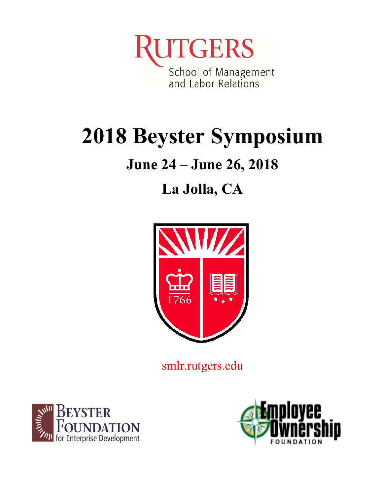**ITGERS** School of Management<br>and Labor Relations

# **2018 Beyster Symposium**

# **June 24 – June 26, 2018**

# **La Jolla, CA**



smlr.rutgers.edu



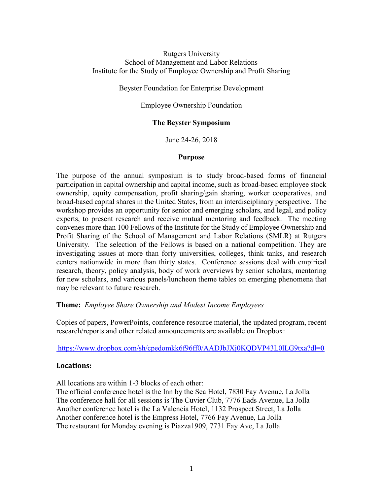# Rutgers University School of Management and Labor Relations Institute for the Study of Employee Ownership and Profit Sharing

# Beyster Foundation for Enterprise Development

# Employee Ownership Foundation

# **The Beyster Symposium**

June 24-26, 2018

# **Purpose**

The purpose of the annual symposium is to study broad-based forms of financial participation in capital ownership and capital income, such as broad-based employee stock ownership, equity compensation, profit sharing/gain sharing, worker cooperatives, and broad-based capital shares in the United States, from an interdisciplinary perspective. The workshop provides an opportunity for senior and emerging scholars, and legal, and policy experts, to present research and receive mutual mentoring and feedback. The meeting convenes more than 100 Fellows of the Institute for the Study of Employee Ownership and Profit Sharing of the School of Management and Labor Relations (SMLR) at Rutgers University. The selection of the Fellows is based on a national competition. They are investigating issues at more than forty universities, colleges, think tanks, and research centers nationwide in more than thirty states. Conference sessions deal with empirical research, theory, policy analysis, body of work overviews by senior scholars, mentoring for new scholars, and various panels/luncheon theme tables on emerging phenomena that may be relevant to future research.

# **Theme:** *Employee Share Ownership and Modest Income Employees*

Copies of papers, PowerPoints, conference resource material, the updated program, recent research/reports and other related announcements are available on Dropbox:

# [https://www.dropbox.com/sh/cpedomkk6f96ff0/AADJbJXj0KQDVP43L0lLG9txa?dl=0](https://www.dropbox.com/sh/mxedw0anu6sycer/AAD7VE6pCPs5xXKNBZHWq28Za?dl=0)

# **Locations:**

All locations are within 1-3 blocks of each other:

The official conference hotel is the Inn by the Sea Hotel, 7830 Fay Avenue, La Jolla The conference hall for all sessions is The Cuvier Club, 7776 Eads Avenue, La Jolla Another conference hotel is the La Valencia Hotel, 1132 Prospect Street, La Jolla Another conference hotel is the Empress Hotel, 7766 Fay Avenue, La Jolla The restaurant for Monday evening is Piazza1909, 7731 Fay Ave, La Jolla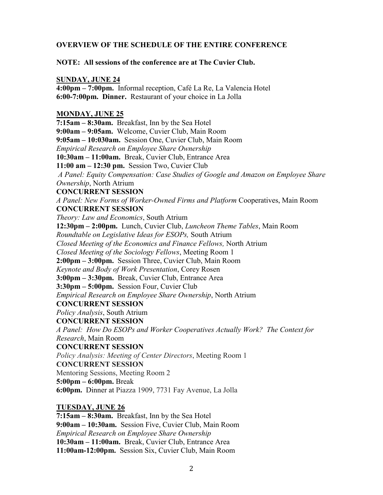# **OVERVIEW OF THE SCHEDULE OF THE ENTIRE CONFERENCE**

# **NOTE: All sessions of the conference are at The Cuvier Club.**

#### **SUNDAY, JUNE 24**

**4:00pm – 7:00pm.** Informal reception, Café La Re, La Valencia Hotel **6:00-7:00pm. Dinner.** Restaurant of your choice in La Jolla

#### **MONDAY, JUNE 25**

**7:15am – 8:30am.** Breakfast, Inn by the Sea Hotel **9:00am – 9:05am.** Welcome, Cuvier Club, Main Room **9:05am – 10:030am.** Session One, Cuvier Club, Main Room *Empirical Research on Employee Share Ownership* **10:30am – 11:00am.** Break, Cuvier Club, Entrance Area **11:00 am – 12:30 pm.** Session Two, Cuvier Club *A Panel: Equity Compensation: Case Studies of Google and Amazon on Employee Share Ownership*, North Atrium **CONCURRENT SESSION** *A Panel: New Forms of Worker-Owned Firms and Platform* Cooperatives, Main Room **CONCURRENT SESSION** *Theory: Law and Economics*, South Atrium **12:30pm – 2:00pm.** Lunch, Cuvier Club, *Luncheon Theme Tables*, Main Room *Roundtable on Legislative Ideas for ESOPs,* South Atrium *Closed Meeting of the Economics and Finance Fellows,* North Atrium *Closed Meeting of the Sociology Fellows*, Meeting Room 1 **2:00pm – 3:00pm.** Session Three, Cuvier Club, Main Room *Keynote and Body of Work Presentation*, Corey Rosen **3:00pm – 3:30pm.** Break, Cuvier Club, Entrance Area **3:30pm – 5:00pm.** Session Four, Cuvier Club *Empirical Research on Employee Share Ownership*, North Atrium **CONCURRENT SESSION** *Policy Analysis*, South Atrium **CONCURRENT SESSION** *A Panel: How Do ESOPs and Worker Cooperatives Actually Work? The Context for Research*, Main Room **CONCURRENT SESSION**  *Policy Analysis: Meeting of Center Directors*, Meeting Room 1 **CONCURRENT SESSION** Mentoring Sessions, Meeting Room 2 **5:00pm – 6:00pm.** Break

**6:00pm.** Dinner at Piazza 1909, 7731 Fay Avenue, La Jolla

# **TUESDAY, JUNE 26**

**7:15am – 8:30am.** Breakfast, Inn by the Sea Hotel **9:00am – 10:30am.** Session Five, Cuvier Club, Main Room *Empirical Research on Employee Share Ownership* **10:30am – 11:00am.** Break, Cuvier Club, Entrance Area **11:00am-12:00pm.** Session Six, Cuvier Club, Main Room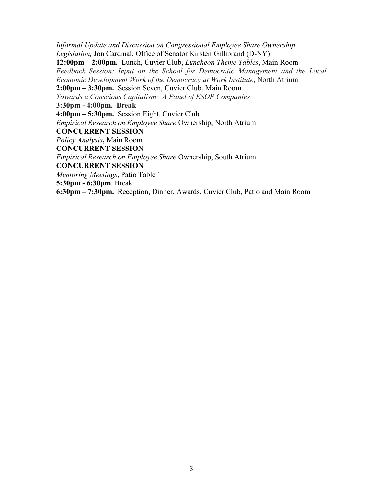*Informal Update and Discussion on Congressional Employee Share Ownership Legislation,* Jon Cardinal, Office of Senator Kirsten Gillibrand (D-NY) **12:00pm – 2:00pm.** Lunch, Cuvier Club, *Luncheon Theme Tables*, Main Room *Feedback Session: Input on the School for Democratic Management and the Local Economic Development Work of the Democracy at Work Institute*, North Atrium **2:00pm – 3:30pm.** Session Seven, Cuvier Club, Main Room *Towards a Conscious Capitalism: A Panel of ESOP Companies* **3:30pm - 4:00pm. Break 4:00pm – 5:30pm.** Session Eight, Cuvier Club *Empirical Research on Employee Share* Ownership, North Atrium **CONCURRENT SESSION** *Policy Analysis***,** Main Room **CONCURRENT SESSION** *Empirical Research on Employee Share* Ownership, South Atrium **CONCURRENT SESSION** *Mentoring Meetings*, Patio Table 1 **5:30pm - 6:30pm**. Break **6:30pm – 7:30pm.** Reception, Dinner, Awards, Cuvier Club, Patio and Main Room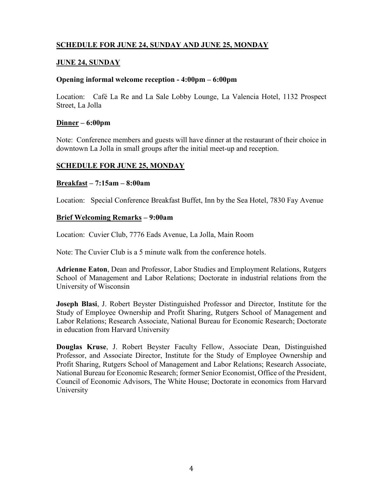# **SCHEDULE FOR JUNE 24, SUNDAY AND JUNE 25, MONDAY**

# **JUNE 24, SUNDAY**

#### **Opening informal welcome reception - 4:00pm – 6:00pm**

Location: Café La Re and La Sale Lobby Lounge, La Valencia Hotel, 1132 Prospect Street, La Jolla

#### **Dinner – 6:00pm**

Note: Conference members and guests will have dinner at the restaurant of their choice in downtown La Jolla in small groups after the initial meet-up and reception.

#### **SCHEDULE FOR JUNE 25, MONDAY**

#### **Breakfast – 7:15am – 8:00am**

Location: Special Conference Breakfast Buffet, Inn by the Sea Hotel, 7830 Fay Avenue

#### **Brief Welcoming Remarks – 9:00am**

Location: Cuvier Club, 7776 Eads Avenue, La Jolla, Main Room

Note: The Cuvier Club is a 5 minute walk from the conference hotels.

**Adrienne Eaton**, Dean and Professor, Labor Studies and Employment Relations, Rutgers School of Management and Labor Relations; Doctorate in industrial relations from the University of Wisconsin

**Joseph Blasi**, J. Robert Beyster Distinguished Professor and Director, Institute for the Study of Employee Ownership and Profit Sharing, Rutgers School of Management and Labor Relations; Research Associate, National Bureau for Economic Research; Doctorate in education from Harvard University

**Douglas Kruse**, J. Robert Beyster Faculty Fellow, Associate Dean, Distinguished Professor, and Associate Director, Institute for the Study of Employee Ownership and Profit Sharing, Rutgers School of Management and Labor Relations; Research Associate, National Bureau for Economic Research; former Senior Economist, Office of the President, Council of Economic Advisors, The White House; Doctorate in economics from Harvard University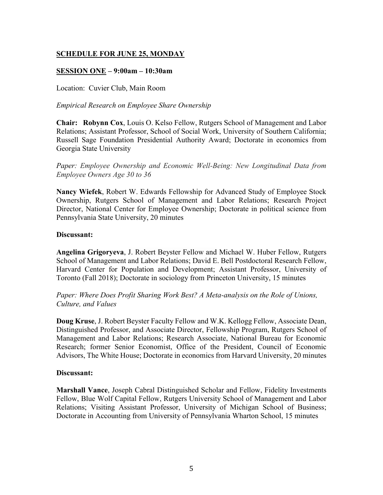# **SESSION ONE – 9:00am – 10:30am**

Location: Cuvier Club, Main Room

*Empirical Research on Employee Share Ownership*

**Chair: Robynn Cox**, Louis O. Kelso Fellow, Rutgers School of Management and Labor Relations; Assistant Professor, School of Social Work, University of Southern California; Russell Sage Foundation Presidential Authority Award; Doctorate in economics from Georgia State University

*Paper: Employee Ownership and Economic Well-Being: New Longitudinal Data from Employee Owners Age 30 to 36*

**Nancy Wiefek**, Robert W. Edwards Fellowship for Advanced Study of Employee Stock Ownership, Rutgers School of Management and Labor Relations; Research Project Director, National Center for Employee Ownership; Doctorate in political science from Pennsylvania State University, 20 minutes

# **Discussant:**

**Angelina Grigoryeva**, J. Robert Beyster Fellow and Michael W. Huber Fellow, Rutgers School of Management and Labor Relations; David E. Bell Postdoctoral Research Fellow, Harvard Center for Population and Development; Assistant Professor, University of Toronto (Fall 2018); Doctorate in sociology from Princeton University, 15 minutes

*Paper: Where Does Profit Sharing Work Best? A Meta-analysis on the Role of Unions, Culture, and Values*

**Doug Kruse**, J. Robert Beyster Faculty Fellow and W.K. Kellogg Fellow, Associate Dean, Distinguished Professor, and Associate Director, Fellowship Program, Rutgers School of Management and Labor Relations; Research Associate, National Bureau for Economic Research; former Senior Economist, Office of the President, Council of Economic Advisors, The White House; Doctorate in economics from Harvard University, 20 minutes

# **Discussant:**

**Marshall Vance**, Joseph Cabral Distinguished Scholar and Fellow, Fidelity Investments Fellow, Blue Wolf Capital Fellow, Rutgers University School of Management and Labor Relations; Visiting Assistant Professor, University of Michigan School of Business; Doctorate in Accounting from University of Pennsylvania Wharton School, 15 minutes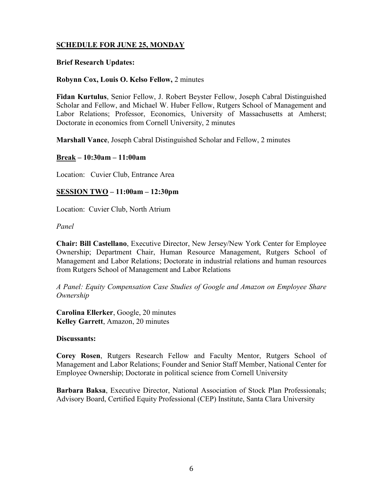# **Brief Research Updates:**

# **Robynn Cox, Louis O. Kelso Fellow,** 2 minutes

**Fidan Kurtulus**, Senior Fellow, J. Robert Beyster Fellow, Joseph Cabral Distinguished Scholar and Fellow, and Michael W. Huber Fellow, Rutgers School of Management and Labor Relations; Professor, Economics, University of Massachusetts at Amherst; Doctorate in economics from Cornell University, 2 minutes

**Marshall Vance**, Joseph Cabral Distinguished Scholar and Fellow, 2 minutes

**Break – 10:30am – 11:00am**

Location: Cuvier Club, Entrance Area

# **SESSION TWO – 11:00am – 12:30pm**

Location: Cuvier Club, North Atrium

*Panel*

**Chair: Bill Castellano**, Executive Director, New Jersey/New York Center for Employee Ownership; Department Chair, Human Resource Management, Rutgers School of Management and Labor Relations; Doctorate in industrial relations and human resources from Rutgers School of Management and Labor Relations

*A Panel: Equity Compensation Case Studies of Google and Amazon on Employee Share Ownership* 

**Carolina Ellerker**, Google, 20 minutes **Kelley Garrett**, Amazon, 20 minutes

# **Discussants:**

**Corey Rosen**, Rutgers Research Fellow and Faculty Mentor, Rutgers School of Management and Labor Relations; Founder and Senior Staff Member, National Center for Employee Ownership; Doctorate in political science from Cornell University

**Barbara Baksa**, Executive Director, National Association of Stock Plan Professionals; Advisory Board, Certified Equity Professional (CEP) Institute, Santa Clara University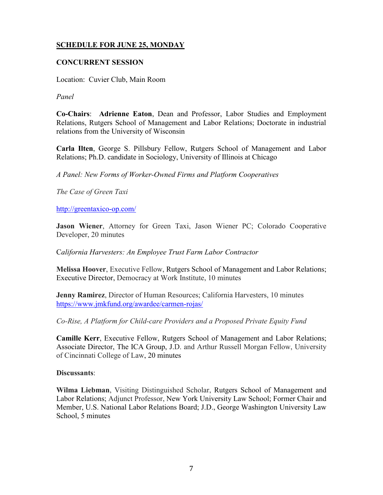# **CONCURRENT SESSION**

Location: Cuvier Club, Main Room

*Panel*

**Co-Chairs**: **Adrienne Eaton**, Dean and Professor, Labor Studies and Employment Relations, Rutgers School of Management and Labor Relations; Doctorate in industrial relations from the University of Wisconsin

**Carla Ilten**, George S. Pillsbury Fellow, Rutgers School of Management and Labor Relations; Ph.D. candidate in Sociology, University of Illinois at Chicago

*A Panel: New Forms of Worker-Owned Firms and Platform Cooperatives*

*The Case of Green Taxi*

<http://greentaxico-op.com/>

**Jason Wiener**, Attorney for Green Taxi, Jason Wiener PC; Colorado Cooperative Developer, 20 minutes

C*alifornia Harvesters: An Employee Trust Farm Labor Contractor*

**Melissa Hoover**, Executive Fellow, Rutgers School of Management and Labor Relations; Executive Director, Democracy at Work Institute, 10 minutes

**Jenny Ramirez**, Director of Human Resources; California Harvesters, 10 minutes <https://www.jmkfund.org/awardee/carmen-rojas/>

*Co-Rise, A Platform for Child-care Providers and a Proposed Private Equity Fund*

**Camille Kerr**, Executive Fellow, Rutgers School of Management and Labor Relations; Associate Director, The ICA Group, J.D. and Arthur Russell Morgan Fellow, University of Cincinnati College of Law, 20 minutes

#### **Discussants**:

**Wilma Liebman**, Visiting Distinguished Scholar, Rutgers School of Management and Labor Relations; Adjunct Professor, New York University Law School; Former Chair and Member, U.S. National Labor Relations Board; J.D., George Washington University Law School, 5 minutes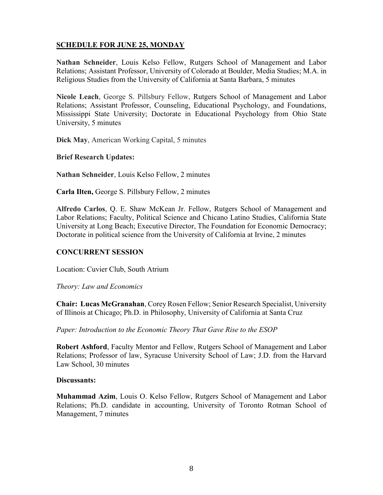**Nathan Schneider**, Louis Kelso Fellow, Rutgers School of Management and Labor Relations; Assistant Professor, University of Colorado at Boulder, Media Studies; M.A. in Religious Studies from the University of California at Santa Barbara, 5 minutes

**Nicole Leach**, George S. Pillsbury Fellow, Rutgers School of Management and Labor Relations; Assistant Professor, Counseling, Educational Psychology, and Foundations, Mississippi State University; Doctorate in Educational Psychology from Ohio State University, 5 minutes

**Dick May**, American Working Capital, 5 minutes

**Brief Research Updates:**

**Nathan Schneider**, Louis Kelso Fellow, 2 minutes

**Carla Ilten,** George S. Pillsbury Fellow, 2 minutes

**Alfredo Carlos**, Q. E. Shaw McKean Jr. Fellow, Rutgers School of Management and Labor Relations; Faculty, Political Science and Chicano Latino Studies, California State University at Long Beach; Executive Director, The Foundation for Economic Democracy; Doctorate in political science from the University of California at Irvine, 2 minutes

# **CONCURRENT SESSION**

Location: Cuvier Club, South Atrium

*Theory: Law and Economics*

**Chair: Lucas McGranahan**, Corey Rosen Fellow; Senior Research Specialist, University of Illinois at Chicago; Ph.D. in Philosophy, University of California at Santa Cruz

*Paper: Introduction to the Economic Theory That Gave Rise to the ESOP*

**Robert Ashford**, Faculty Mentor and Fellow, Rutgers School of Management and Labor Relations; Professor of law, Syracuse University School of Law; J.D. from the Harvard Law School, 30 minutes

# **Discussants:**

**Muhammad Azim**, Louis O. Kelso Fellow, Rutgers School of Management and Labor Relations; Ph.D. candidate in accounting, University of Toronto Rotman School of Management, 7 minutes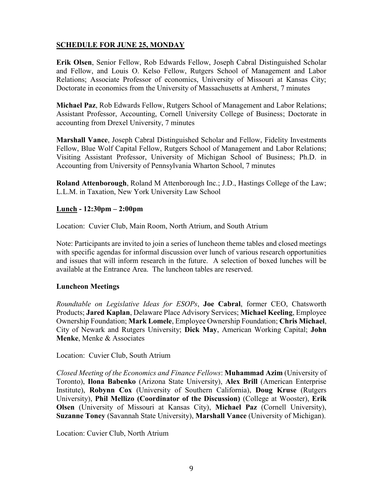**Erik Olsen**, Senior Fellow, Rob Edwards Fellow, Joseph Cabral Distinguished Scholar and Fellow, and Louis O. Kelso Fellow, Rutgers School of Management and Labor Relations; Associate Professor of economics, University of Missouri at Kansas City; Doctorate in economics from the University of Massachusetts at Amherst, 7 minutes

**Michael Paz**, Rob Edwards Fellow, Rutgers School of Management and Labor Relations; Assistant Professor, Accounting, Cornell University College of Business; Doctorate in accounting from Drexel University, 7 minutes

**Marshall Vance**, Joseph Cabral Distinguished Scholar and Fellow, Fidelity Investments Fellow, Blue Wolf Capital Fellow, Rutgers School of Management and Labor Relations; Visiting Assistant Professor, University of Michigan School of Business; Ph.D. in Accounting from University of Pennsylvania Wharton School, 7 minutes

**Roland Attenborough**, Roland M Attenborough Inc.; J.D., Hastings College of the Law; L.L.M. in Taxation, New York University Law School

# **Lunch - 12:30pm – 2:00pm**

Location: Cuvier Club, Main Room, North Atrium, and South Atrium

Note: Participants are invited to join a series of luncheon theme tables and closed meetings with specific agendas for informal discussion over lunch of various research opportunities and issues that will inform research in the future. A selection of boxed lunches will be available at the Entrance Area. The luncheon tables are reserved.

# **Luncheon Meetings**

*Roundtable on Legislative Ideas for ESOPs*, **Joe Cabral**, former CEO, Chatsworth Products; **Jared Kaplan**, Delaware Place Advisory Services; **Michael Keeling**, Employee Ownership Foundation; **Mark Lomele**, Employee Ownership Foundation; **Chris Michael**, City of Newark and Rutgers University; **Dick May**, American Working Capital; **John Menke**, Menke & Associates

Location: Cuvier Club, South Atrium

*Closed Meeting of the Economics and Finance Fellows*: **Muhammad Azim** (University of Toronto), **Ilona Babenko** (Arizona State University), **Alex Brill** (American Enterprise Institute), **Robynn Cox** (University of Southern California), **Doug Kruse** (Rutgers University), **Phil Mellizo (Coordinator of the Discussion)** (College at Wooster), **Erik Olsen** (University of Missouri at Kansas City), **Michael Paz** (Cornell University), **Suzanne Toney** (Savannah State University), **Marshall Vance** (University of Michigan).

Location: Cuvier Club, North Atrium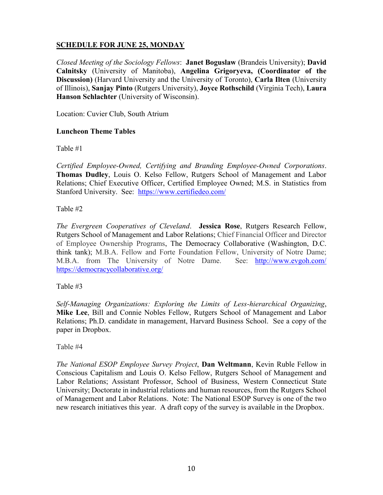*Closed Meeting of the Sociology Fellows*: **Janet Boguslaw** (Brandeis University); **David Calnitsky** (University of Manitoba), **Angelina Grigoryeva, (Coordinator of the Discussion)** (Harvard University and the University of Toronto), **Carla Ilten** (University of Illinois), **Sanjay Pinto** (Rutgers University), **Joyce Rothschild** (Virginia Tech), **Laura Hanson Schlachter** (University of Wisconsin).

Location: Cuvier Club, South Atrium

# **Luncheon Theme Tables**

Table #1

*Certified Employee-Owned, Certifying and Branding Employee-Owned Corporations*. **Thomas Dudley**, Louis O. Kelso Fellow, Rutgers School of Management and Labor Relations; Chief Executive Officer, Certified Employee Owned; M.S. in Statistics from Stanford University. See: <https://www.certifiedeo.com/>

Table #2

*The Evergreen Cooperatives of Cleveland*. **Jessica Rose**, Rutgers Research Fellow, Rutgers School of Management and Labor Relations; Chief Financial Officer and Director of Employee Ownership Programs, The Democracy Collaborative (Washington, D.C. think tank); M.B.A. Fellow and Forte Foundation Fellow, University of Notre Dame; M.B.A. from The University of Notre Dame. See: <http://www.evgoh.com/> <https://democracycollaborative.org/>

Table #3

*Self-Managing Organizations: Exploring the Limits of Less-hierarchical Organizing*, **Mike Lee**, Bill and Connie Nobles Fellow, Rutgers School of Management and Labor Relations; Ph.D. candidate in management, Harvard Business School. See a copy of the paper in Dropbox.

Table #4

*The National ESOP Employee Survey Project*, **Dan Weltmann**, Kevin Ruble Fellow in Conscious Capitalism and Louis O. Kelso Fellow, Rutgers School of Management and Labor Relations; Assistant Professor, School of Business, Western Connecticut State University; Doctorate in industrial relations and human resources, from the Rutgers School of Management and Labor Relations. Note: The National ESOP Survey is one of the two new research initiatives this year. A draft copy of the survey is available in the Dropbox.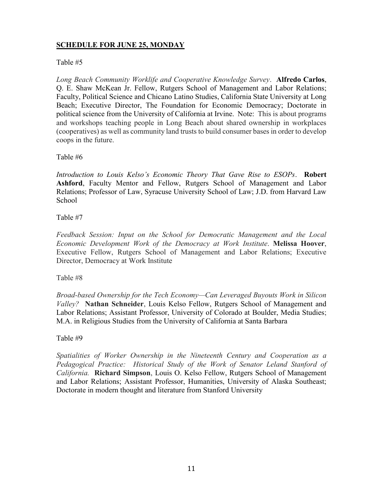# Table #5

*Long Beach Community Worklife and Cooperative Knowledge Survey*. **Alfredo Carlos**, Q. E. Shaw McKean Jr. Fellow, Rutgers School of Management and Labor Relations; Faculty, Political Science and Chicano Latino Studies, California State University at Long Beach; Executive Director, The Foundation for Economic Democracy; Doctorate in political science from the University of California at Irvine. Note: This is about programs and workshops teaching people in Long Beach about shared ownership in workplaces (cooperatives) as well as community land trusts to build consumer bases in order to develop coops in the future.

Table #6

*Introduction to Louis Kelso's Economic Theory That Gave Rise to ESOPs*. **Robert Ashford**, Faculty Mentor and Fellow, Rutgers School of Management and Labor Relations; Professor of Law, Syracuse University School of Law; J.D. from Harvard Law School

Table #7

*Feedback Session: Input on the School for Democratic Management and the Local Economic Development Work of the Democracy at Work Institute*. **Melissa Hoover**, Executive Fellow, Rutgers School of Management and Labor Relations; Executive Director, Democracy at Work Institute

Table #8

*Broad-based Ownership for the Tech Economy—Can Leveraged Buyouts Work in Silicon Valley?* **Nathan Schneider**, Louis Kelso Fellow, Rutgers School of Management and Labor Relations; Assistant Professor, University of Colorado at Boulder, Media Studies; M.A. in Religious Studies from the University of California at Santa Barbara

# Table #9

*Spatialities of Worker Ownership in the Nineteenth Century and Cooperation as a*  Pedagogical Practice: Historical Study of the Work of Senator Leland Stanford of *California.* **Richard Simpson**, Louis O. Kelso Fellow, Rutgers School of Management and Labor Relations; Assistant Professor, Humanities, University of Alaska Southeast; Doctorate in modern thought and literature from Stanford University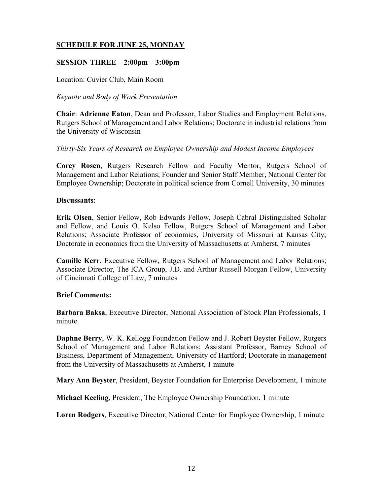# **SESSION THREE – 2:00pm – 3:00pm**

Location: Cuvier Club, Main Room

# *Keynote and Body of Work Presentation*

**Chair**: **Adrienne Eaton**, Dean and Professor, Labor Studies and Employment Relations, Rutgers School of Management and Labor Relations; Doctorate in industrial relations from the University of Wisconsin

# *Thirty-Six Years of Research on Employee Ownership and Modest Income Employees*

**Corey Rosen**, Rutgers Research Fellow and Faculty Mentor, Rutgers School of Management and Labor Relations; Founder and Senior Staff Member, National Center for Employee Ownership; Doctorate in political science from Cornell University, 30 minutes

# **Discussants**:

**Erik Olsen**, Senior Fellow, Rob Edwards Fellow, Joseph Cabral Distinguished Scholar and Fellow, and Louis O. Kelso Fellow, Rutgers School of Management and Labor Relations; Associate Professor of economics, University of Missouri at Kansas City; Doctorate in economics from the University of Massachusetts at Amherst, 7 minutes

**Camille Kerr**, Executive Fellow, Rutgers School of Management and Labor Relations; Associate Director, The ICA Group, J.D. and Arthur Russell Morgan Fellow, University of Cincinnati College of Law, 7 minutes

# **Brief Comments:**

**Barbara Baksa**, Executive Director, National Association of Stock Plan Professionals, 1 minute

**Daphne Berry**, W. K. Kellogg Foundation Fellow and J. Robert Beyster Fellow, Rutgers School of Management and Labor Relations; Assistant Professor, Barney School of Business, Department of Management, University of Hartford; Doctorate in management from the University of Massachusetts at Amherst, 1 minute

**Mary Ann Beyster**, President, Beyster Foundation for Enterprise Development, 1 minute

**Michael Keeling**, President, The Employee Ownership Foundation, 1 minute

**Loren Rodgers**, Executive Director, National Center for Employee Ownership, 1 minute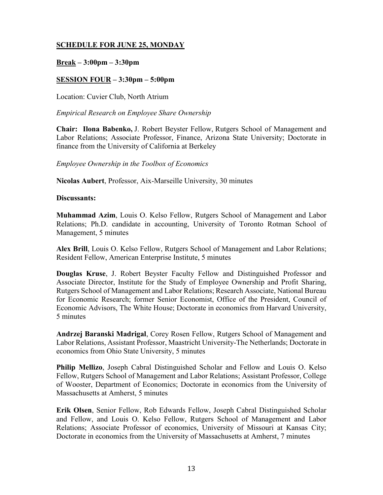# **Break – 3:00pm – 3:30pm**

# **SESSION FOUR – 3:30pm – 5:00pm**

Location: Cuvier Club, North Atrium

*Empirical Research on Employee Share Ownership*

**Chair: Ilona Babenko,** J. Robert Beyster Fellow, Rutgers School of Management and Labor Relations; Associate Professor, Finance, Arizona State University; Doctorate in finance from the University of California at Berkeley

*Employee Ownership in the Toolbox of Economics* 

**Nicolas Aubert**, Professor, Aix-Marseille University, 30 minutes

#### **Discussants:**

**Muhammad Azim**, Louis O. Kelso Fellow, Rutgers School of Management and Labor Relations; Ph.D. candidate in accounting, University of Toronto Rotman School of Management, 5 minutes

**Alex Brill**, Louis O. Kelso Fellow, Rutgers School of Management and Labor Relations; Resident Fellow, American Enterprise Institute, 5 minutes

**Douglas Kruse**, J. Robert Beyster Faculty Fellow and Distinguished Professor and Associate Director, Institute for the Study of Employee Ownership and Profit Sharing, Rutgers School of Management and Labor Relations; Research Associate, National Bureau for Economic Research; former Senior Economist, Office of the President, Council of Economic Advisors, The White House; Doctorate in economics from Harvard University, 5 minutes

**Andrzej Baranski Madrigal**, Corey Rosen Fellow, Rutgers School of Management and Labor Relations, Assistant Professor, Maastricht University-The Netherlands; Doctorate in economics from Ohio State University, 5 minutes

**Philip Mellizo**, Joseph Cabral Distinguished Scholar and Fellow and Louis O. Kelso Fellow, Rutgers School of Management and Labor Relations; Assistant Professor, College of Wooster, Department of Economics; Doctorate in economics from the University of Massachusetts at Amherst, 5 minutes

**Erik Olsen**, Senior Fellow, Rob Edwards Fellow, Joseph Cabral Distinguished Scholar and Fellow, and Louis O. Kelso Fellow, Rutgers School of Management and Labor Relations; Associate Professor of economics, University of Missouri at Kansas City; Doctorate in economics from the University of Massachusetts at Amherst, 7 minutes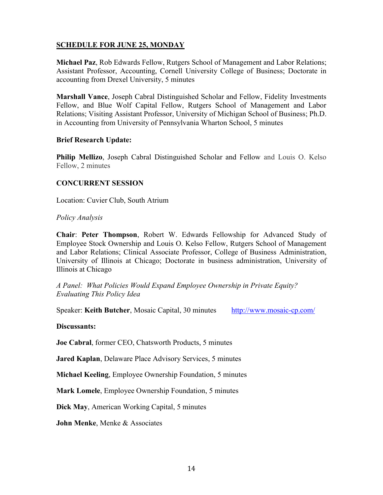**Michael Paz**, Rob Edwards Fellow, Rutgers School of Management and Labor Relations; Assistant Professor, Accounting, Cornell University College of Business; Doctorate in accounting from Drexel University, 5 minutes

**Marshall Vance**, Joseph Cabral Distinguished Scholar and Fellow, Fidelity Investments Fellow, and Blue Wolf Capital Fellow, Rutgers School of Management and Labor Relations; Visiting Assistant Professor, University of Michigan School of Business; Ph.D. in Accounting from University of Pennsylvania Wharton School, 5 minutes

# **Brief Research Update:**

**Philip Mellizo**, Joseph Cabral Distinguished Scholar and Fellow and Louis O. Kelso Fellow, 2 minutes

# **CONCURRENT SESSION**

Location: Cuvier Club, South Atrium

*Policy Analysis* 

**Chair**: **Peter Thompson**, Robert W. Edwards Fellowship for Advanced Study of Employee Stock Ownership and Louis O. Kelso Fellow, Rutgers School of Management and Labor Relations; Clinical Associate Professor, College of Business Administration, University of Illinois at Chicago; Doctorate in business administration, University of Illinois at Chicago

*A Panel: What Policies Would Expand Employee Ownership in Private Equity? Evaluating This Policy Idea*

Speaker: **Keith Butcher**, Mosaic Capital, 30 minutes <http://www.mosaic-cp.com/>

# **Discussants:**

**Joe Cabral**, former CEO, Chatsworth Products, 5 minutes

**Jared Kaplan**, Delaware Place Advisory Services, 5 minutes

**Michael Keeling**, Employee Ownership Foundation, 5 minutes

**Mark Lomele**, Employee Ownership Foundation, 5 minutes

**Dick May**, American Working Capital, 5 minutes

**John Menke**, Menke & Associates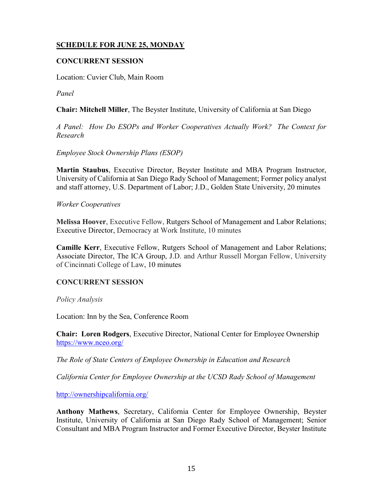# **CONCURRENT SESSION**

Location: Cuvier Club, Main Room

*Panel*

**Chair: Mitchell Miller**, The Beyster Institute, University of California at San Diego

*A Panel: How Do ESOPs and Worker Cooperatives Actually Work? The Context for Research* 

*Employee Stock Ownership Plans (ESOP)*

**Martin Staubus**, Executive Director, Beyster Institute and MBA Program Instructor, University of California at San Diego Rady School of Management; Former policy analyst and staff attorney, U.S. Department of Labor; J.D., Golden State University, 20 minutes

*Worker Cooperatives*

**Melissa Hoover**, Executive Fellow, Rutgers School of Management and Labor Relations; Executive Director, Democracy at Work Institute, 10 minutes

**Camille Kerr**, Executive Fellow, Rutgers School of Management and Labor Relations; Associate Director, The ICA Group, J.D. and Arthur Russell Morgan Fellow, University of Cincinnati College of Law, 10 minutes

# **CONCURRENT SESSION**

*Policy Analysis*

Location: Inn by the Sea, Conference Room

**Chair: Loren Rodgers**, Executive Director, National Center for Employee Ownership <https://www.nceo.org/>

*The Role of State Centers of Employee Ownership in Education and Research*

*California Center for Employee Ownership at the UCSD Rady School of Management*

<http://ownershipcalifornia.org/>

**Anthony Mathews**, Secretary, California Center for Employee Ownership, Beyster Institute, University of California at San Diego Rady School of Management; Senior Consultant and MBA Program Instructor and Former Executive Director, Beyster Institute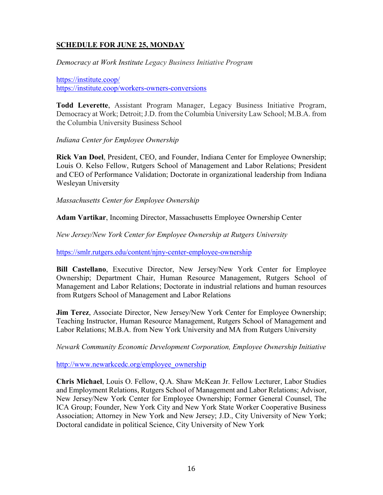*Democracy at Work Institute Legacy Business Initiative Program*

<https://institute.coop/> <https://institute.coop/workers-owners-conversions>

**Todd Leverette**, Assistant Program Manager, Legacy Business Initiative Program, Democracy at Work; Detroit; J.D. from the Columbia University Law School; M.B.A. from the Columbia University Business School

*Indiana Center for Employee Ownership*

**Rick Van Doel**, President, CEO, and Founder, Indiana Center for Employee Ownership; Louis O. Kelso Fellow, Rutgers School of Management and Labor Relations; President and CEO of Performance Validation; Doctorate in organizational leadership from Indiana Wesleyan University

*Massachusetts Center for Employee Ownership*

**Adam Vartikar**, Incoming Director, Massachusetts Employee Ownership Center

*New Jersey/New York Center for Employee Ownership at Rutgers University*

<https://smlr.rutgers.edu/content/njny-center-employee-ownership>

**Bill Castellano**, Executive Director, New Jersey/New York Center for Employee Ownership; Department Chair, Human Resource Management, Rutgers School of Management and Labor Relations; Doctorate in industrial relations and human resources from Rutgers School of Management and Labor Relations

**Jim Terez**, Associate Director, New Jersey/New York Center for Employee Ownership; Teaching Instructor, Human Resource Management, Rutgers School of Management and Labor Relations; M.B.A. from New York University and MA from Rutgers University

*Newark Community Economic Development Corporation, Employee Ownership Initiative*

[http://www.newarkcedc.org/employee\\_ownership](http://www.newarkcedc.org/employee_ownership)

**Chris Michael**, Louis O. Fellow, Q.A. Shaw McKean Jr. Fellow Lecturer, Labor Studies and Employment Relations, Rutgers School of Management and Labor Relations; Advisor, New Jersey/New York Center for Employee Ownership; Former General Counsel, The ICA Group; Founder, New York City and New York State Worker Cooperative Business Association; Attorney in New York and New Jersey; J.D., City University of New York; Doctoral candidate in political Science, City University of New York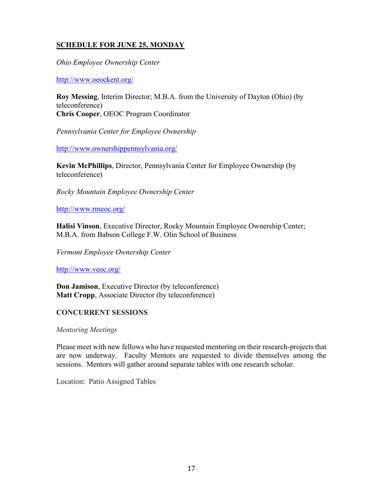*Ohio Employee Ownership Center*

<http://www.oeockent.org/>

**Roy Messing**, Interim Director; M.B.A. from the University of Dayton (Ohio) (by teleconference) **Chris Cooper**, OEOC Program Coordinator

*Pennsylvania Center for Employee Ownership*

<http://www.ownershippennsylvania.org/>

**Kevin McPhillips**, Director, Pennsylvania Center for Employee Ownership (by teleconference)

*Rocky Mountain Employee Ownership Center*

<http://www.rmeoc.org/>

**Halisi Vinson**, Executive Director, Rocky Mountain Employee Ownership Center; M.B.A. from Babson College F.W. Olin School of Business

*Vermont Employee Ownership Center*

<http://www.veoc.org/>

**Don Jamison**, Executive Director (by teleconference) **Matt Cropp**, Associate Director (by teleconference)

# **CONCURRENT SESSIONS**

*Mentoring Meetings*

Please meet with new fellows who have requested mentoring on their research-projects that are now underway. Faculty Mentors are requested to divide themselves among the sessions. Mentors will gather around separate tables with one research scholar.

Location: Patio Assigned Tables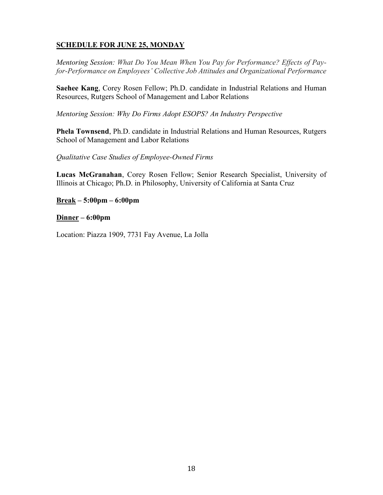*Mentoring Session: What Do You Mean When You Pay for Performance? Effects of Payfor-Performance on Employees' Collective Job Attitudes and Organizational Performance*

**Saehee Kang**, Corey Rosen Fellow; Ph.D. candidate in Industrial Relations and Human Resources, Rutgers School of Management and Labor Relations

*Mentoring Session: Why Do Firms Adopt ESOPS? An Industry Perspective*

**Phela Townsend**, Ph.D. candidate in Industrial Relations and Human Resources, Rutgers School of Management and Labor Relations

# *Qualitative Case Studies of Employee-Owned Firms*

**Lucas McGranahan**, Corey Rosen Fellow; Senior Research Specialist, University of Illinois at Chicago; Ph.D. in Philosophy, University of California at Santa Cruz

**Break – 5:00pm – 6:00pm**

**Dinner – 6:00pm**

Location: Piazza 1909, 7731 Fay Avenue, La Jolla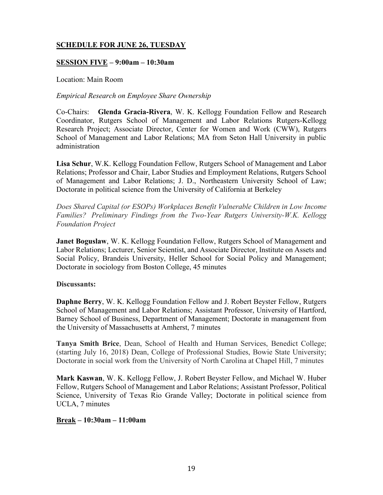# **SESSION FIVE – 9:00am – 10:30am**

Location: Main Room

# *Empirical Research on Employee Share Ownership*

Co-Chairs: **Glenda Gracia-Rivera**, W. K. Kellogg Foundation Fellow and Research Coordinator, Rutgers School of Management and Labor Relations Rutgers-Kellogg Research Project; Associate Director, Center for Women and Work (CWW), Rutgers School of Management and Labor Relations; MA from Seton Hall University in public administration

**Lisa Schur**, W.K. Kellogg Foundation Fellow, Rutgers School of Management and Labor Relations; Professor and Chair, Labor Studies and Employment Relations, Rutgers School of Management and Labor Relations; J. D., Northeastern University School of Law; Doctorate in political science from the University of California at Berkeley

*Does Shared Capital (or ESOPs) Workplaces Benefit Vulnerable Children in Low Income Families? Preliminary Findings from the Two-Year Rutgers University-W.K. Kellogg Foundation Project*

**Janet Boguslaw, W. K. Kellogg Foundation Fellow, Rutgers School of Management and** Labor Relations; Lecturer, Senior Scientist, and Associate Director, Institute on Assets and Social Policy, Brandeis University, Heller School for Social Policy and Management; Doctorate in sociology from Boston College, 45 minutes

# **Discussants:**

**Daphne Berry**, W. K. Kellogg Foundation Fellow and J. Robert Beyster Fellow, Rutgers School of Management and Labor Relations; Assistant Professor, University of Hartford, Barney School of Business, Department of Management; Doctorate in management from the University of Massachusetts at Amherst, 7 minutes

**Tanya Smith Brice**, Dean, School of Health and Human Services, Benedict College; (starting July 16, 2018) Dean, College of Professional Studies, Bowie State University; Doctorate in social work from the University of North Carolina at Chapel Hill, 7 minutes

**Mark Kaswan**, W. K. Kellogg Fellow, J. Robert Beyster Fellow, and Michael W. Huber Fellow, Rutgers School of Management and Labor Relations; Assistant Professor, Political Science, University of Texas Rio Grande Valley; Doctorate in political science from UCLA, 7 minutes

# **Break – 10:30am – 11:00am**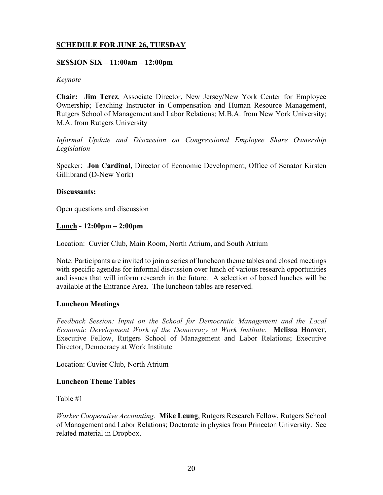# **SESSION SIX – 11:00am – 12:00pm**

#### *Keynote*

**Chair: Jim Terez**, Associate Director, New Jersey/New York Center for Employee Ownership; Teaching Instructor in Compensation and Human Resource Management, Rutgers School of Management and Labor Relations; M.B.A. from New York University; M.A. from Rutgers University

*Informal Update and Discussion on Congressional Employee Share Ownership Legislation*

Speaker: **Jon Cardinal**, Director of Economic Development, Office of Senator Kirsten Gillibrand (D-New York)

#### **Discussants:**

Open questions and discussion

# **Lunch - 12:00pm – 2:00pm**

Location: Cuvier Club, Main Room, North Atrium, and South Atrium

Note: Participants are invited to join a series of luncheon theme tables and closed meetings with specific agendas for informal discussion over lunch of various research opportunities and issues that will inform research in the future. A selection of boxed lunches will be available at the Entrance Area. The luncheon tables are reserved.

# **Luncheon Meetings**

*Feedback Session: Input on the School for Democratic Management and the Local Economic Development Work of the Democracy at Work Institute*. **Melissa Hoover**, Executive Fellow, Rutgers School of Management and Labor Relations; Executive Director, Democracy at Work Institute

Location: Cuvier Club, North Atrium

# **Luncheon Theme Tables**

Table #1

*Worker Cooperative Accounting.* **Mike Leung**, Rutgers Research Fellow, Rutgers School of Management and Labor Relations; Doctorate in physics from Princeton University. See related material in Dropbox.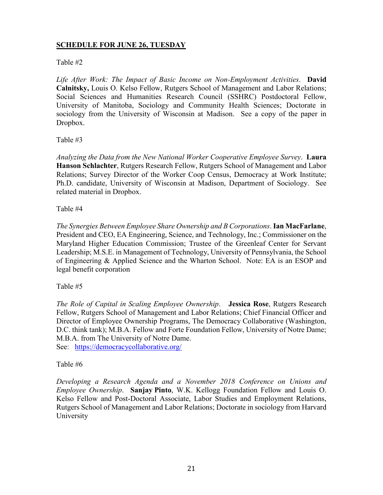# Table #2

*Life After Work: The Impact of Basic Income on Non-Employment Activities*. **David Calnitsky,** Louis O. Kelso Fellow, Rutgers School of Management and Labor Relations; Social Sciences and Humanities Research Council (SSHRC) Postdoctoral Fellow, University of Manitoba, Sociology and Community Health Sciences; Doctorate in sociology from the University of Wisconsin at Madison. See a copy of the paper in Dropbox.

# Table #3

*Analyzing the Data from the New National Worker Cooperative Employee Survey*. **Laura Hanson Schlachter**, Rutgers Research Fellow, Rutgers School of Management and Labor Relations; Survey Director of the Worker Coop Census, Democracy at Work Institute; Ph.D. candidate, University of Wisconsin at Madison, Department of Sociology. See related material in Dropbox.

Table #4

*The Synergies Between Employee Share Ownership and B Corporations*. **Ian MacFarlane**, President and CEO, EA Engineering, Science, and Technology, Inc.; Commissioner on the Maryland Higher Education Commission; Trustee of the Greenleaf Center for Servant Leadership; M.S.E. in Management of Technology, University of Pennsylvania, the School of Engineering & Applied Science and the Wharton School. Note: EA is an ESOP and legal benefit corporation

Table #5

*The Role of Capital in Scaling Employee Ownership*. **Jessica Rose**, Rutgers Research Fellow, Rutgers School of Management and Labor Relations; Chief Financial Officer and Director of Employee Ownership Programs, The Democracy Collaborative (Washington, D.C. think tank); M.B.A. Fellow and Forte Foundation Fellow, University of Notre Dame; M.B.A. from The University of Notre Dame. See: <https://democracycollaborative.org/>

# Table #6

*Developing a Research Agenda and a November 2018 Conference on Unions and Employee Ownership*. **Sanjay Pinto**, W.K. Kellogg Foundation Fellow and Louis O. Kelso Fellow and Post-Doctoral Associate, Labor Studies and Employment Relations, Rutgers School of Management and Labor Relations; Doctorate in sociology from Harvard University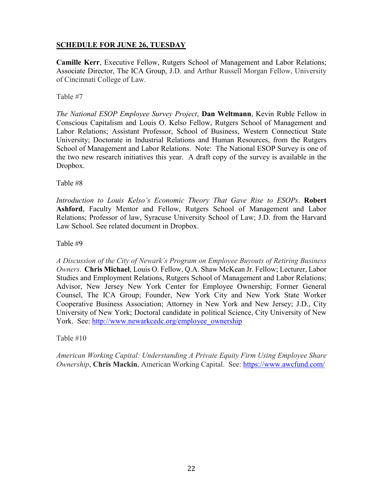**Camille Kerr**, Executive Fellow, Rutgers School of Management and Labor Relations; Associate Director, The ICA Group, J.D. and Arthur Russell Morgan Fellow, University of Cincinnati College of Law.

Table #7

*The National ESOP Employee Survey Project*, **Dan Weltmann**, Kevin Ruble Fellow in Conscious Capitalism and Louis O. Kelso Fellow, Rutgers School of Management and Labor Relations; Assistant Professor, School of Business, Western Connecticut State University; Doctorate in Industrial Relations and Human Resources, from the Rutgers School of Management and Labor Relations. Note: The National ESOP Survey is one of the two new research initiatives this year. A draft copy of the survey is available in the Dropbox.

Table #8

*Introduction to Louis Kelso's Economic Theory That Gave Rise to ESOPs*. **Robert Ashford**, Faculty Mentor and Fellow, Rutgers School of Management and Labor Relations; Professor of law, Syracuse University School of Law; J.D. from the Harvard Law School. See related document in Dropbox.

Table #9

*A Discussion of the City of Newark's Program on Employee Buyouts of Retiring Business Owners*. **Chris Michael**, Louis O. Fellow, Q.A. Shaw McKean Jr. Fellow; Lecturer, Labor Studies and Employment Relations, Rutgers School of Management and Labor Relations; Advisor, New Jersey New York Center for Employee Ownership; Former General Counsel, The ICA Group; Founder, New York City and New York State Worker Cooperative Business Association; Attorney in New York and New Jersey; J.D., City University of New York; Doctoral candidate in political Science, City University of New York. See: [http://www.newarkcedc.org/employee\\_ownership](http://www.newarkcedc.org/employee_ownership)

Table #10

*American Working Capital: Understanding A Private Equity Firm Using Employee Share Ownership*, **Chris Mackin**, American Working Capital. See:<https://www.awcfund.com/>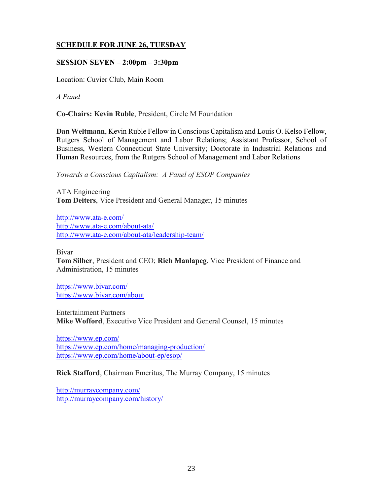# **SESSION SEVEN – 2:00pm – 3:30pm**

Location: Cuvier Club, Main Room

*A Panel*

**Co-Chairs: Kevin Ruble**, President, Circle M Foundation

**Dan Weltmann**, Kevin Ruble Fellow in Conscious Capitalism and Louis O. Kelso Fellow, Rutgers School of Management and Labor Relations; Assistant Professor, School of Business, Western Connecticut State University; Doctorate in Industrial Relations and Human Resources, from the Rutgers School of Management and Labor Relations

*Towards a Conscious Capitalism: A Panel of ESOP Companies*

ATA Engineering **Tom Deiters**, Vice President and General Manager, 15 minutes

<http://www.ata-e.com/> <http://www.ata-e.com/about-ata/> <http://www.ata-e.com/about-ata/leadership-team/>

Bivar

**Tom Silber**, President and CEO; **Rich Manlapeg**, Vice President of Finance and Administration, 15 minutes

<https://www.bivar.com/> <https://www.bivar.com/about>

Entertainment Partners **Mike Wofford**, Executive Vice President and General Counsel, 15 minutes

<https://www.ep.com/> <https://www.ep.com/home/managing-production/> <https://www.ep.com/home/about-ep/esop/>

**Rick Stafford**, Chairman Emeritus, The Murray Company, 15 minutes

<http://murraycompany.com/> <http://murraycompany.com/history/>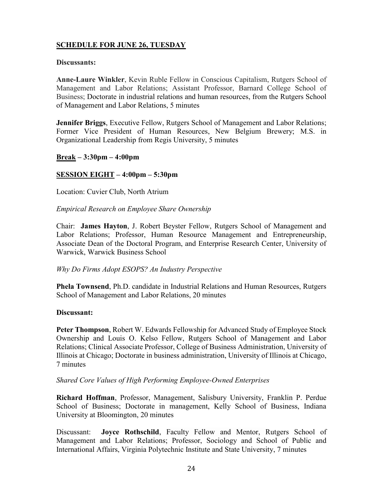# **Discussants:**

**Anne-Laure Winkler**, Kevin Ruble Fellow in Conscious Capitalism, Rutgers School of Management and Labor Relations; Assistant Professor, Barnard College School of Business; Doctorate in industrial relations and human resources, from the Rutgers School of Management and Labor Relations, 5 minutes

**Jennifer Briggs**, Executive Fellow, Rutgers School of Management and Labor Relations; Former Vice President of Human Resources, New Belgium Brewery; M.S. in Organizational Leadership from Regis University, 5 minutes

# **Break – 3:30pm – 4:00pm**

# **SESSION EIGHT – 4:00pm – 5:30pm**

Location: Cuvier Club, North Atrium

# *Empirical Research on Employee Share Ownership*

Chair: **James Hayton**, J. Robert Beyster Fellow, Rutgers School of Management and Labor Relations; Professor, Human Resource Management and Entrepreneurship, Associate Dean of the Doctoral Program, and Enterprise Research Center, University of Warwick, Warwick Business School

# *Why Do Firms Adopt ESOPS? An Industry Perspective*

**Phela Townsend**, Ph.D. candidate in Industrial Relations and Human Resources, Rutgers School of Management and Labor Relations, 20 minutes

# **Discussant:**

**Peter Thompson**, Robert W. Edwards Fellowship for Advanced Study of Employee Stock Ownership and Louis O. Kelso Fellow, Rutgers School of Management and Labor Relations; Clinical Associate Professor, College of Business Administration, University of Illinois at Chicago; Doctorate in business administration, University of Illinois at Chicago, 7 minutes

# *Shared Core Values of High Performing Employee-Owned Enterprises*

**Richard Hoffman**, Professor, Management, Salisbury University, Franklin P. Perdue School of Business; Doctorate in management, Kelly School of Business, Indiana University at Bloomington, 20 minutes

Discussant: **Joyce Rothschild**, Faculty Fellow and Mentor, Rutgers School of Management and Labor Relations; Professor, Sociology and School of Public and International Affairs, Virginia Polytechnic Institute and State University, 7 minutes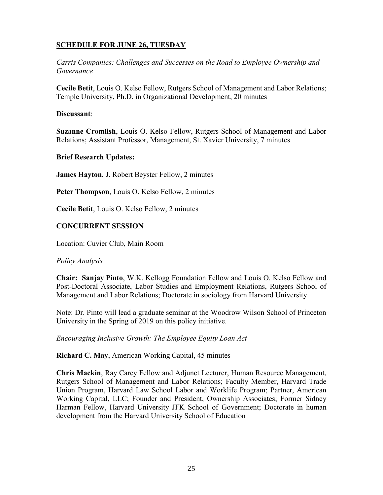*Carris Companies: Challenges and Successes on the Road to Employee Ownership and Governance*

**Cecile Betit**, Louis O. Kelso Fellow, Rutgers School of Management and Labor Relations; Temple University, Ph.D. in Organizational Development, 20 minutes

# **Discussant**:

**Suzanne Cromlish**, Louis O. Kelso Fellow, Rutgers School of Management and Labor Relations; Assistant Professor, Management, St. Xavier University, 7 minutes

# **Brief Research Updates:**

**James Hayton**, J. Robert Beyster Fellow, 2 minutes

**Peter Thompson**, Louis O. Kelso Fellow, 2 minutes

**Cecile Betit**, Louis O. Kelso Fellow, 2 minutes

# **CONCURRENT SESSION**

Location: Cuvier Club, Main Room

# *Policy Analysis*

**Chair: Sanjay Pinto**, W.K. Kellogg Foundation Fellow and Louis O. Kelso Fellow and Post-Doctoral Associate, Labor Studies and Employment Relations, Rutgers School of Management and Labor Relations; Doctorate in sociology from Harvard University

Note: Dr. Pinto will lead a graduate seminar at the Woodrow Wilson School of Princeton University in the Spring of 2019 on this policy initiative.

*Encouraging Inclusive Growth: The Employee Equity Loan Act*

**Richard C. May**, American Working Capital, 45 minutes

**Chris Mackin**, Ray Carey Fellow and Adjunct Lecturer, Human Resource Management, Rutgers School of Management and Labor Relations; Faculty Member, Harvard Trade Union Program, Harvard Law School Labor and Worklife Program; Partner, American Working Capital, LLC; Founder and President, Ownership Associates; Former Sidney Harman Fellow, Harvard University JFK School of Government; Doctorate in human development from the Harvard University School of Education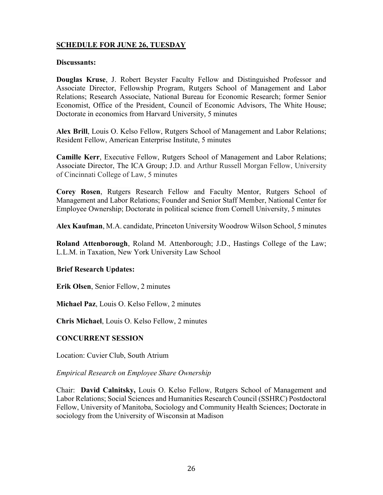#### **Discussants:**

**Douglas Kruse**, J. Robert Beyster Faculty Fellow and Distinguished Professor and Associate Director, Fellowship Program, Rutgers School of Management and Labor Relations; Research Associate, National Bureau for Economic Research; former Senior Economist, Office of the President, Council of Economic Advisors, The White House; Doctorate in economics from Harvard University, 5 minutes

**Alex Brill**, Louis O. Kelso Fellow, Rutgers School of Management and Labor Relations; Resident Fellow, American Enterprise Institute, 5 minutes

**Camille Kerr**, Executive Fellow, Rutgers School of Management and Labor Relations; Associate Director, The ICA Group; J.D. and Arthur Russell Morgan Fellow, University of Cincinnati College of Law, 5 minutes

**Corey Rosen**, Rutgers Research Fellow and Faculty Mentor, Rutgers School of Management and Labor Relations; Founder and Senior Staff Member, National Center for Employee Ownership; Doctorate in political science from Cornell University, 5 minutes

**Alex Kaufman**, M.A. candidate, Princeton University Woodrow Wilson School, 5 minutes

**Roland Attenborough**, Roland M. Attenborough; J.D., Hastings College of the Law; L.L.M. in Taxation, New York University Law School

#### **Brief Research Updates:**

**Erik Olsen**, Senior Fellow, 2 minutes

**Michael Paz**, Louis O. Kelso Fellow, 2 minutes

**Chris Michael**, Louis O. Kelso Fellow, 2 minutes

# **CONCURRENT SESSION**

Location: Cuvier Club, South Atrium

*Empirical Research on Employee Share Ownership*

Chair: **David Calnitsky,** Louis O. Kelso Fellow, Rutgers School of Management and Labor Relations; Social Sciences and Humanities Research Council (SSHRC) Postdoctoral Fellow, University of Manitoba, Sociology and Community Health Sciences; Doctorate in sociology from the University of Wisconsin at Madison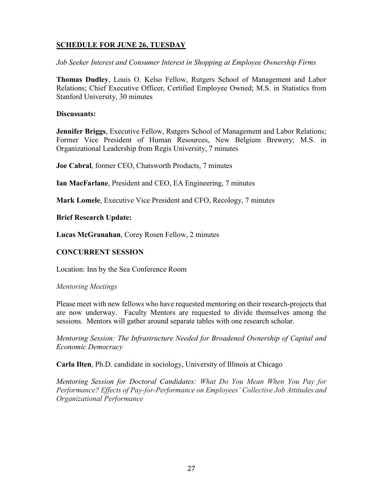*Job Seeker Interest and Consumer Interest in Shopping at Employee Ownership Firms*

**Thomas Dudley**, Louis O. Kelso Fellow, Rutgers School of Management and Labor Relations; Chief Executive Officer, Certified Employee Owned; M.S. in Statistics from Stanford University, 30 minutes

# **Discussants:**

**Jennifer Briggs**, Executive Fellow, Rutgers School of Management and Labor Relations; Former Vice President of Human Resources, New Belgium Brewery; M.S. in Organizational Leadership from Regis University, 7 minutes

**Joe Cabral**, former CEO, Chatsworth Products, 7 minutes

**Ian MacFarlane**, President and CEO, EA Engineering, 7 minutes

**Mark Lomele**, Executive Vice President and CFO, Recology, 7 minutes

**Brief Research Update:**

**Lucas McGranahan**, Corey Rosen Fellow, 2 minutes

# **CONCURRENT SESSION**

Location: Inn by the Sea Conference Room

# *Mentoring Meetings*

Please meet with new fellows who have requested mentoring on their research-projects that are now underway. Faculty Mentors are requested to divide themselves among the sessions. Mentors will gather around separate tables with one research scholar.

*Mentoring Session: The Infrastructure Needed for Broadened Ownership of Capital and Economic Democracy*

**Carla Ilten**, Ph.D. candidate in sociology, University of Illinois at Chicago

*Mentoring Session for Doctoral Candidates: What Do You Mean When You Pay for Performance? Effects of Pay-for-Performance on Employees' Collective Job Attitudes and Organizational Performance*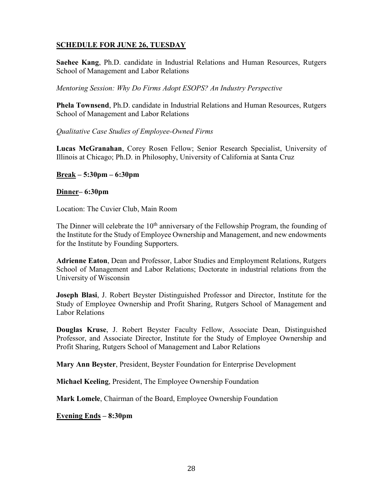**Saehee Kang**, Ph.D. candidate in Industrial Relations and Human Resources, Rutgers School of Management and Labor Relations

*Mentoring Session: Why Do Firms Adopt ESOPS? An Industry Perspective*

**Phela Townsend**, Ph.D. candidate in Industrial Relations and Human Resources, Rutgers School of Management and Labor Relations

*Qualitative Case Studies of Employee-Owned Firms*

**Lucas McGranahan**, Corey Rosen Fellow; Senior Research Specialist, University of Illinois at Chicago; Ph.D. in Philosophy, University of California at Santa Cruz

# **Break – 5:30pm – 6:30pm**

# **Dinner– 6:30pm**

Location: The Cuvier Club, Main Room

The Dinner will celebrate the  $10<sup>th</sup>$  anniversary of the Fellowship Program, the founding of the Institute for the Study of Employee Ownership and Management, and new endowments for the Institute by Founding Supporters.

**Adrienne Eaton**, Dean and Professor, Labor Studies and Employment Relations, Rutgers School of Management and Labor Relations; Doctorate in industrial relations from the University of Wisconsin

**Joseph Blasi**, J. Robert Beyster Distinguished Professor and Director, Institute for the Study of Employee Ownership and Profit Sharing, Rutgers School of Management and Labor Relations

**Douglas Kruse**, J. Robert Beyster Faculty Fellow, Associate Dean, Distinguished Professor, and Associate Director, Institute for the Study of Employee Ownership and Profit Sharing, Rutgers School of Management and Labor Relations

**Mary Ann Beyster**, President, Beyster Foundation for Enterprise Development

**Michael Keeling**, President, The Employee Ownership Foundation

**Mark Lomele**, Chairman of the Board, Employee Ownership Foundation

**Evening Ends – 8:30pm**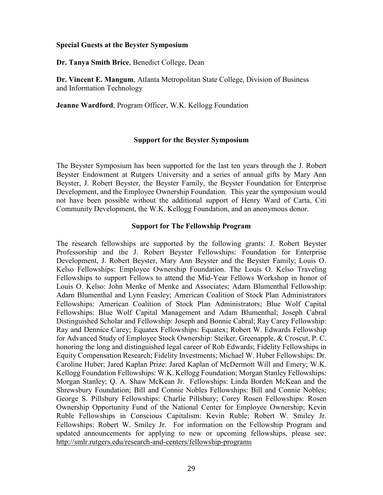#### **Special Guests at the Beyster Symposium**

**Dr. Tanya Smith Brice**, Benedict College, Dean

**Dr. Vincent E. Mangum**, Atlanta Metropolitan State College, Division of Business and Information Technology

**Jeanne Wardford**, Program Officer, W.K. Kellogg Foundation

#### **Support for the Beyster Symposium**

The Beyster Symposium has been supported for the last ten years through the J. Robert Beyster Endowment at Rutgers University and a series of annual gifts by Mary Ann Beyster, J. Robert Beyster, the Beyster Family, the Beyster Foundation for Enterprise Development, and the Employee Ownership Foundation. This year the symposium would not have been possible without the additional support of Henry Ward of Carta, Citi Community Development, the W.K. Kellogg Foundation, and an anonymous donor.

#### **Support for The Fellowship Program**

The research fellowships are supported by the following grants: J. Robert Beyster Professorship and the J. Robert Beyster Fellowships: Foundation for Enterprise Development, J. Robert Beyster, Mary Ann Beyster and the Beyster Family; Louis O. Kelso Fellowships: Employee Ownership Foundation. The Louis O. Kelso Traveling Fellowships to support Fellows to attend the Mid-Year Fellows Workshop in honor of Louis O. Kelso: John Menke of Menke and Associates; Adam Blumenthal Fellowship: Adam Blumenthal and Lynn Feasley; American Coalition of Stock Plan Administrators Fellowships: American Coalition of Stock Plan Administrators; Blue Wolf Capital Fellowships: Blue Wolf Capital Management and Adam Blumenthal; Joseph Cabral Distinguished Scholar and Fellowship: Joseph and Bonnie Cabral; Ray Carey Fellowship: Ray and Dennice Carey; Equatex Fellowships: Equatex; Robert W. Edwards Fellowship for Advanced Study of Employee Stock Ownership: Steiker, Greenapple, & Croscut, P. C. honoring the long and distinguished legal career of Rob Edwards; Fidelity Fellowships in Equity Compensation Research; Fidelity Investments; Michael W. Huber Fellowships: Dr. Caroline Huber; Jared Kaplan Prize: Jared Kaplan of McDermott Will and Emery; W.K. Kellogg Foundation Fellowships: W.K. Kellogg Foundation; Morgan Stanley Fellowships: Morgan Stanley; Q. A. Shaw McKean Jr. Fellowships: Linda Borden McKean and the Shrewsbury Foundation; Bill and Connie Nobles Fellowships: Bill and Connie Nobles; George S. Pillsbury Fellowships: Charlie Pillsbury; Corey Rosen Fellowships: Rosen Ownership Opportunity Fund of the National Center for Employee Ownership; Kevin Ruble Fellowships in Conscious Capitalism: Kevin Ruble; Robert W. Smiley Jr. Fellowships: Robert W. Smiley Jr. For information on the Fellowship Program and updated announcements for applying to new or upcoming fellowships, please see: <http://smlr.rutgers.edu/research-and-centers/fellowship-programs>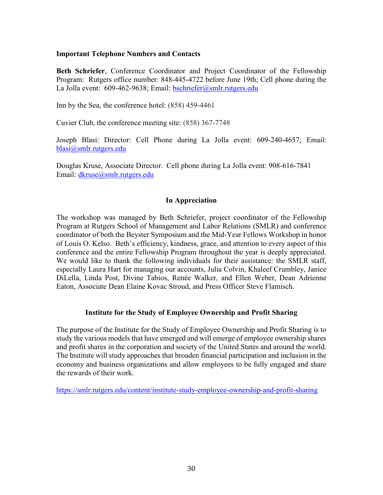# **Important Telephone Numbers and Contacts**

**Beth Schriefer**, Conference Coordinator and Project Coordinator of the Fellowship Program: Rutgers office number: 848-445-4722 before June 19th; Cell phone during the La Jolla event: 609-462-9638; Email: [bschriefer@smlr.rutgers.edu](mailto:bschriefer@smlr.rutgers.edu)

Inn by the Sea, the conference hotel: (858) 459-4461

Cuvier Club, the conference meeting site: (858) 367-7748

Joseph Blasi: Director: Cell Phone during La Jolla event: 609-240-4657; Email: [blasi@smlr.rutgers.edu](mailto:blasi@smlr.rutgers.edu)

Douglas Kruse, Associate Director. Cell phone during La Jolla event: 908-616-7841 Email: [dkruse@smlr.rutgers.edu](mailto:dkruse@smlr.rutgers.edu) 

# **In Appreciation**

The workshop was managed by Beth Schriefer, project coordinator of the Fellowship Program at Rutgers School of Management and Labor Relations (SMLR) and conference coordinator of both the Beyster Symposium and the Mid-Year Fellows Workshop in honor of Louis O. Kelso. Beth's efficiency, kindness, grace, and attention to every aspect of this conference and the entire Fellowship Program throughout the year is deeply appreciated. We would like to thank the following individuals for their assistance: the SMLR staff, especially Laura Hart for managing our accounts, Julia Colvin, Khaleef Crumbley, Janice DiLella, Linda Post, Divine Tabios, Renée Walker, and Ellen Weber, Dean Adrienne Eaton, Associate Dean Elaine Kovac Stroud, and Press Officer Steve Flamisch.

# **Institute for the Study of Employee Ownership and Profit Sharing**

The purpose of the Institute for the Study of Employee Ownership and Profit Sharing is to study the various models that have emerged and will emerge of employee ownership shares and profit shares in the corporation and society of the United States and around the world. The Institute will study approaches that broaden financial participation and inclusion in the economy and business organizations and allow employees to be fully engaged and share the rewards of their work.

<https://smlr.rutgers.edu/content/institute-study-employee-ownership-and-profit-sharing>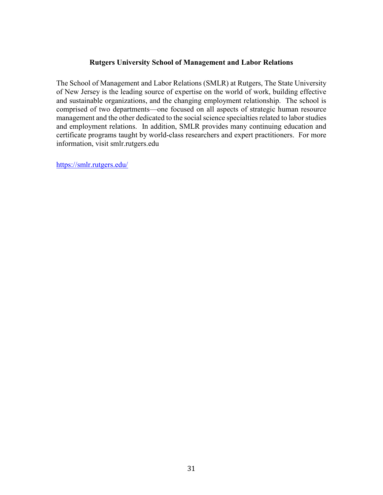# **Rutgers University School of Management and Labor Relations**

The School of Management and Labor Relations (SMLR) at Rutgers, The State University of New Jersey is the leading source of expertise on the world of work, building effective and sustainable organizations, and the changing employment relationship. The school is comprised of two departments—one focused on all aspects of strategic human resource management and the other dedicated to the social science specialties related to labor studies and employment relations. In addition, SMLR provides many continuing education and certificate programs taught by world-class researchers and expert practitioners. For more information, visit smlr.rutgers.edu

<https://smlr.rutgers.edu/>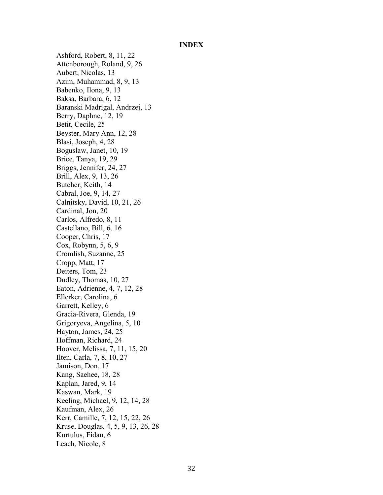#### **INDEX**

Ashford, Robert, 8, 11, 22 Attenborough, Roland, 9, 26 Aubert, Nicolas, 13 Azim, Muhammad, 8, 9, 13 Babenko, Ilona, 9, 13 Baksa, Barbara, 6, 12 Baranski Madrigal, Andrzej, 13 Berry, Daphne, 12, 19 Betit, Cecile, 25 Beyster, Mary Ann, 12, 28 Blasi, Joseph, 4, 28 Boguslaw, Janet, 10, 19 Brice, Tanya, 19, 29 Briggs, Jennifer, 24, 27 Brill, Alex, 9, 13, 26 Butcher, Keith, 14 Cabral, Joe, 9, 14, 27 Calnitsky, David, 10, 21, 26 Cardinal, Jon, 20 Carlos, Alfredo, 8, 11 Castellano, Bill, 6, 16 Cooper, Chris, 17 Cox, Robynn, 5, 6, 9 Cromlish, Suzanne, 25 Cropp, Matt, 17 Deiters, Tom, 23 Dudley, Thomas, 10, 27 Eaton, Adrienne, 4, 7, 12, 28 Ellerker, Carolina, 6 Garrett, Kelley, 6 Gracia-Rivera, Glenda, 19 Grigoryeva, Angelina, 5, 10 Hayton, James, 24, 25 Hoffman, Richard, 24 Hoover, Melissa, 7, 11, 15, 20 Ilten, Carla, 7, 8, 10, 27 Jamison, Don, 17 Kang, Saehee, 18, 28 Kaplan, Jared, 9, 14 Kaswan, Mark, 19 Keeling, Michael, 9, 12, 14, 28 Kaufman, Alex, 26 Kerr, Camille, 7, 12, 15, 22, 26 Kruse, Douglas, 4, 5, 9, 13, 26, 28 Kurtulus, Fidan, 6 Leach, Nicole, 8